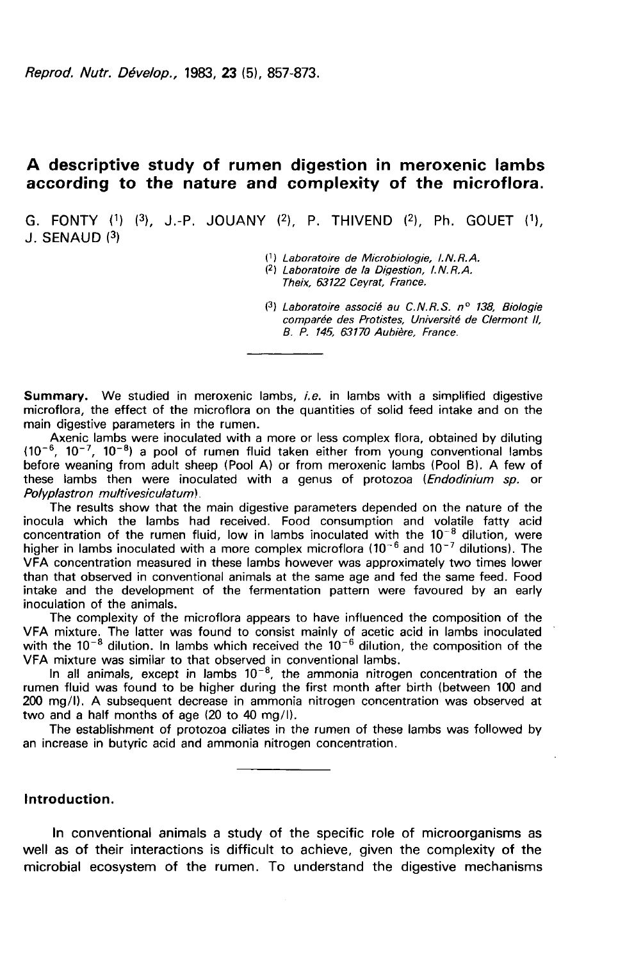# A descriptive study of rumen digestion in meroxenic lambs according to the nature and complexity of the microflora.

G. FONTY  $(1)$   $(3)$ , J.-P. JOUANY  $(2)$ , P. THIVEND  $(2)$ , Ph. GOUET  $(1)$ ,  $J$ . SENAUD  $(3)$ 

(1) Laboratoire de Microbiologie, 1. N. R. A.

(2) Laboratoire de la Djqestion, I.N.R.A.

Theix, 63122 Ceyrat, France.

(3) Laboratoire associé au C.N.R.S. nº 138, Biologie comparée des Protistes, Université de Clermont Il, B. P. 145, 63170 Aubière, France.

**Summary.** We studied in meroxenic lambs, *i.e.* in lambs with a simplified digestive microflora, the effect of the microflora on the quantities of solid feed intake and on the main digestive parameters in the rumen.

Axenic lambs were inoculated with a more or less complex flora, obtained by diluting (10<sup>-6</sup>, 10<sup>-7</sup>, 10<sup>-8</sup>) a pool of rumen fluid taken either from young conventional lambs before weaning from adult sheep (Pool A) or from meroxenic lambs (Pool B). A few of these lambs then were inoculated with a genus of protozoa (*Endodinium sp.* or Polyplastron multivesiculatum).

The results show that the main digestive parameters depended on the nature of the inocula which the lambs had received. Food consumption and volatile fatty acid concentration of the rumen fluid, low in lambs inoculated with the  $10^{-8}$  dilution, were higher in lambs inoculated with a more complex microflora (10<sup>-6</sup> and 10<sup>-7</sup> dilutions). The VFA concentration measured in these lambs however was approximately two times lower than that observed in conventional animals at the same age and fed the same feed. Food intake and the development of the fermentation pattern were favoured by an early inoculation of the animals.

The complexity of the microflora appears to have influenced the composition of the VFA mixture. The latter was found to consist mainly of acetic acid in lambs inoculated with the  $10^{-8}$  dilution. In lambs which received the  $10^{-6}$  dilution, the composition of the With the 10<sup>- o</sup> dilution. In lambs which received the 10<sup>- o</sup> dilution, the composition of the UVFA mixture was similar to that observed in conventional lambs.<br>In all animals, except in lambs 10<sup>-8</sup>, the ammonia nitrogen

rumen fluid was found to be higher during the first month after birth (between 100 and 200 mg/1). A subsequent decrease in ammonia nitrogen concentration was observed at two and a half months of age (20 to 40 mg/1).

The establishment of protozoa ciliates in the rumen of these lambs was followed by an increase in butyric acid and ammonia nitrogen concentration.

## Introduction.

In conventional animals a study of the specific role of microorganisms as well as of their interactions is difficult to achieve, given the complexity of the microbial ecosystem of the rumen. To understand the digestive mechanisms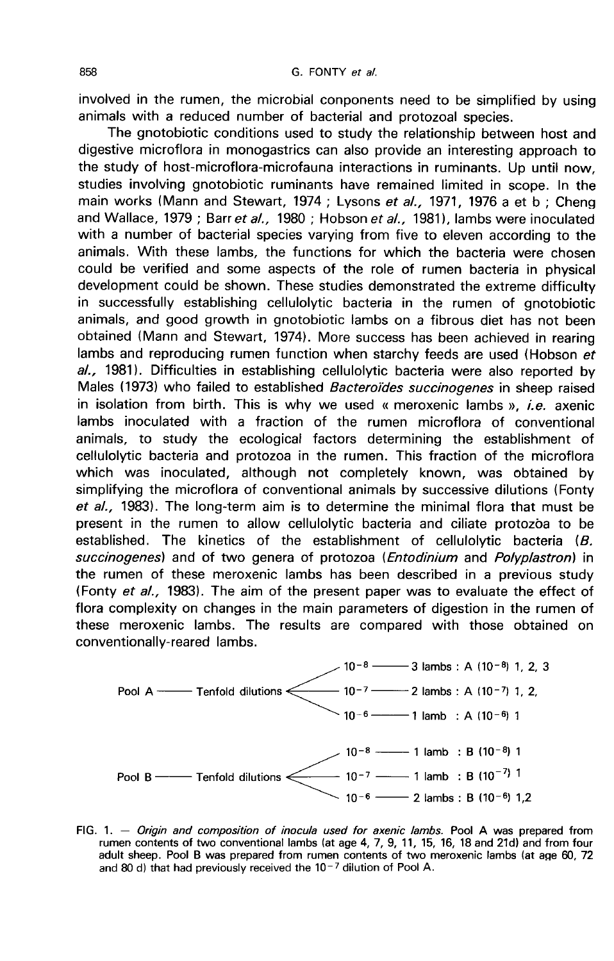involved in the rumen, the microbial conponents need to be simplified by using animals with a reduced number of bacterial and protozoal species.

The gnotobiotic conditions used to study the relationship between host and digestive microflora in monogastrics can also provide an interesting approach to the study of host-microflora-microfauna interactions in ruminants. Up until now, studies involving gnotobiotic ruminants have remained limited in scope. In the main works (Mann and Stewart, 1974 ; Lysons et al., 1971, 1976 a et b ; Cheng and Wallace, 1979 ; Barr et al., 1980 ; Hobson et al., 1981), lambs were inoculated with a number of bacterial species varying from five to eleven according to the animals. With these lambs, the functions for which the bacteria were chosen could be verified and some aspects of the role of rumen bacteria in physical development could be shown. These studies demonstrated the extreme difficulty in successfully establishing cellulolytic bacteria in the rumen of gnotobiotic animals, and good growth in gnotobiotic lambs on a fibrous diet has not been obtained (Mann and Stewart, 1974). More success has been achieved in rearing lambs and reproducing rumen function when starchy feeds are used (Hobson et al., 1981). Difficulties in establishing cellulolytic bacteria were also reported by Males (1973) who failed to established *Bacteroïdes succinogenes* in sheep raised in isolation from birth. This is why we used « meroxenic lambs », *i.e.* axenic lambs inoculated with a fraction of the rumen microflora of conventional animals, to study the ecological factors determining the establishment of cellulolytic bacteria and protozoa in the rumen. This fraction of the microflora which was inoculated, although not completely known, was obtained by simplifying the microflora of conventional animals by successive dilutions (Fonty et  $al$ , 1983). The long-term aim is to determine the minimal flora that must be present in the rumen to allow cellulolytic bacteria and ciliate protozoa to be established. The kinetics of the establishment of cellulolytic bacteria  $(B.$ succinogenes) and of two genera of protozoa (Entodinium and Polyplastron) in the rumen of these meroxenic lambs has been described in a previous study (Fonty et al., 1983). The aim of the present paper was to evaluate the effect of flora complexity on changes in the main parameters of digestion in the rumen of these meroxenic lambs. The results are compared with those obtained on conventionally-reared lambs.



FIG. 1. - Origin and composition of inocula used for axenic lambs. Pool A was prepared from rumen contents of two conventional lambs (at age 4, 7, 9, 11, 15, 16, 18 and 21d) and from four adult sheep. Pool B was prepared from rumen contents of two meroxenic lambs (at age 60, 72 and 80 d) that had previously received the  $10^{-7}$  dilution of Pool A.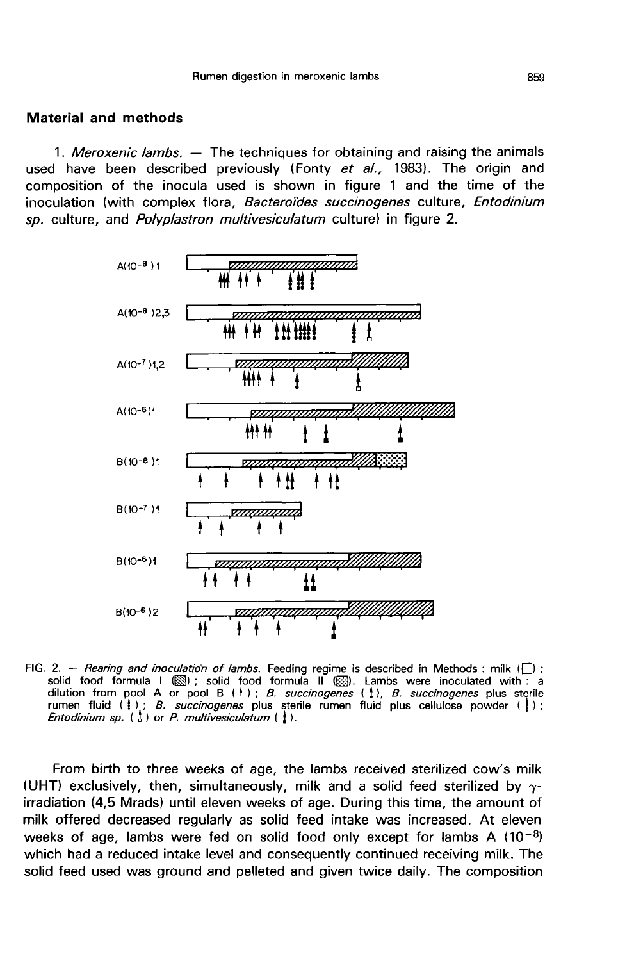### Material and methods

1. Meroxenic lambs. - The techniques for obtaining and raising the animals used have been described previously (Fonty et  $al.$ , 1983). The origin and composition of the inocula used is shown in figure 1 and the time of the inoculation (with complex flora, Bacteroides succinogenes culture, Entodinium sp. culture, and *Polyplastron multivesiculatum* culture) in figure 2.



FIG. 2. - Rearing and inoculation of lambs. Feeding regime is described in Methods : milk  $\Box$  ; solid food formula  $1 \times 2$ <br>solid food formula  $1 \times 2$ <br>dilution from pool A or pool B (1); B. succinogenes (1), B. succinogenes plus sterile<br>rumen fluid (1); B. succinogenes plus sterile rumen fluid (1); B. succinogenes pl Entodinium sp.  $\begin{pmatrix} 1 \\ 2 \end{pmatrix}$  or P. multivesiculatum  $\begin{pmatrix} 1 \\ 2 \end{pmatrix}$ .

From birth to three weeks of age, the lambs received sterilized cow's milk (UHT) exclusively, then, simultaneously, milk and a solid feed sterilized by  $\gamma$ irradiation (4,5 Mrads) until eleven weeks of age. During this time, the amount of milk offered decreased regularly as solid feed intake was increased. At eleven weeks of age, lambs were fed on solid food only except for milk offered decreased regularly as solid feed intake was increased. At eleven which had a reduced intake level and consequently continued receiving milk. The solid feed used was ground and pelleted and given twice daily. The composition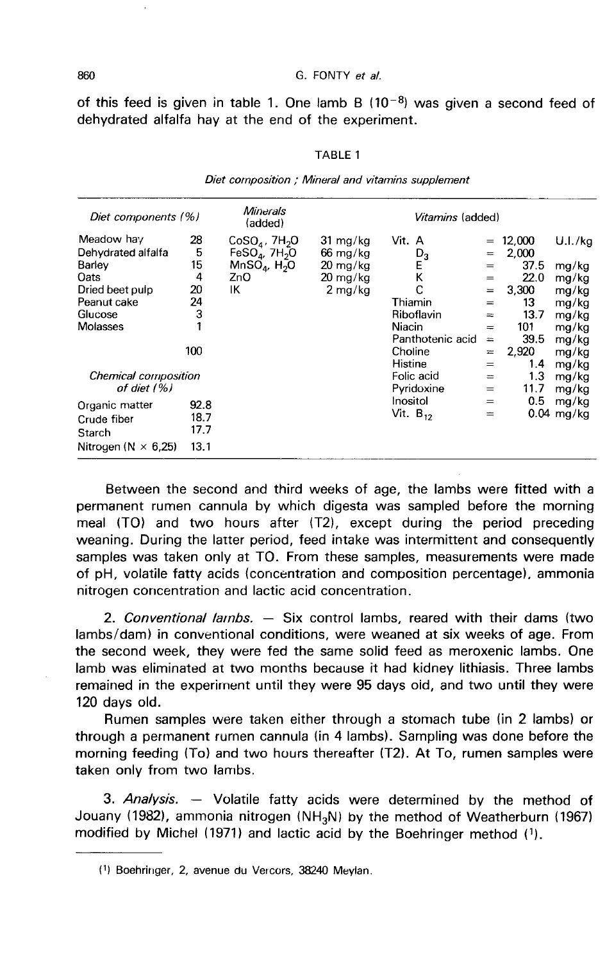860 6. FONTY *et al.*<br>
of this feed is given in table 1. One lamb B (10<sup>-8</sup>) was given a second feed of dehydrated alfalfa hay at the end of the experiment.

| Diet components (%)          |      | Minerals<br><i>Vitamins</i> (added)<br>(added) |                    |                  |           |        |              |
|------------------------------|------|------------------------------------------------|--------------------|------------------|-----------|--------|--------------|
| Meadow hay                   | 28   | $CoSO_4$ , 7H <sub>2</sub> O                   | 31 mg/kg           | Vit. A           | $=$       | 12,000 | U.I./kq      |
| Dehydrated alfalfa           | 5    | FeSO <sub>4</sub> , $7H2O$                     | $66 \text{ mg/kg}$ | $D_3$            | $=$       | 2,000  |              |
| Barley                       | 15   | $MnSOa$ , H <sub>2</sub> O                     | $20 \; mg/kg$      | Ε                | $=$       | 37.5   | mg/kg        |
| Oats                         | 4    | ZnO                                            | $20 \text{ mg/kg}$ | Κ                | $=$       | 22.0   | mg/kg        |
| Dried beet pulp              | 20   | ΙK                                             | $2 \text{ mg/kg}$  |                  | $=$       | 3,300  | mg/kg        |
| Peanut cake                  | 24   |                                                |                    | Thiamin          | $=$       | 13     | mg/kg        |
| Glucose                      | 3    |                                                |                    | Riboflavin       | $=$       | 13.7   | mg/kg        |
| Molasses                     |      |                                                |                    | Niacin           | $=$       | 101    | mg/kg        |
|                              |      |                                                |                    | Panthotenic acid | $\approx$ | 39.5   | mg/kg        |
|                              | 100  |                                                |                    | Choline          | $=$       | 2,920  | mg/kg        |
|                              |      |                                                |                    | Histine          | $=$       | 1.4    | mg/kg        |
| <b>Chemical composition</b>  |      |                                                |                    | Folic acid       | $=$       | 1.3    | mg/kg        |
| of diet (%)                  |      |                                                |                    | Pyridoxine       | $=$       | 11.7   | mg/kg        |
| Organic matter               | 92.8 |                                                |                    | Inositol         | $=$       | 0.5    | mg/kg        |
| Crude fiber                  | 18.7 |                                                |                    | Vit. $B_{12}$    | =         |        | $0.04$ mg/kg |
|                              | 17.7 |                                                |                    |                  |           |        |              |
| Starch                       |      |                                                |                    |                  |           |        |              |
| Nitrogen ( $N \times 6.25$ ) | 13.1 |                                                |                    |                  |           |        |              |

| TABLE 1                                            |
|----------------------------------------------------|
| Diet composition : Mineral and vitamins supplement |

Between the second and third weeks of age, the lambs were fitted with a permanent rumen cannula by which digesta was sampled before the morning meal (TO) and two hours after (T2), except during the period preceding weaning. During the latter period, feed intake was intermittent and consequently samples was taken only at TO. From these samples, measurements were made of pH, volatile fatty acids (concentration and composition percentage), ammonia nitrogen concentration and lactic acid concentration.

2. Conventional lambs.  $-$  Six control lambs, reared with their dams (two lambs/dam) in conventional conditions, were weaned at six weeks of age. From the second week, they were fed the same solid feed as meroxenic lambs. One lamb was eliminated at two months because it had kidney lithiasis. Three lambs remained in the experiment until they were 95 days old, and two until they were 120 days old.

Rurnen samples were taken either through a stomach tube (in 2 lambs) or through a permanent rumen cannula (in 4 lambs). Sampling was done before the morning feeding (To) and two hours thereafter (T2). At To, rumen samples were taken only from two lambs.

3. Analysis.  $-$  Volatile fatty acids were determined by the method of Jouany (1982), ammonia nitrogen (NH<sub>3</sub>N) by the method of Weatherburn (1967) modified by Michel (1971) and lactic acid by the Boehringer method (1).

<sup>(1)</sup> Boehringer, 2, avenue du Vercors, 38240 Meylan.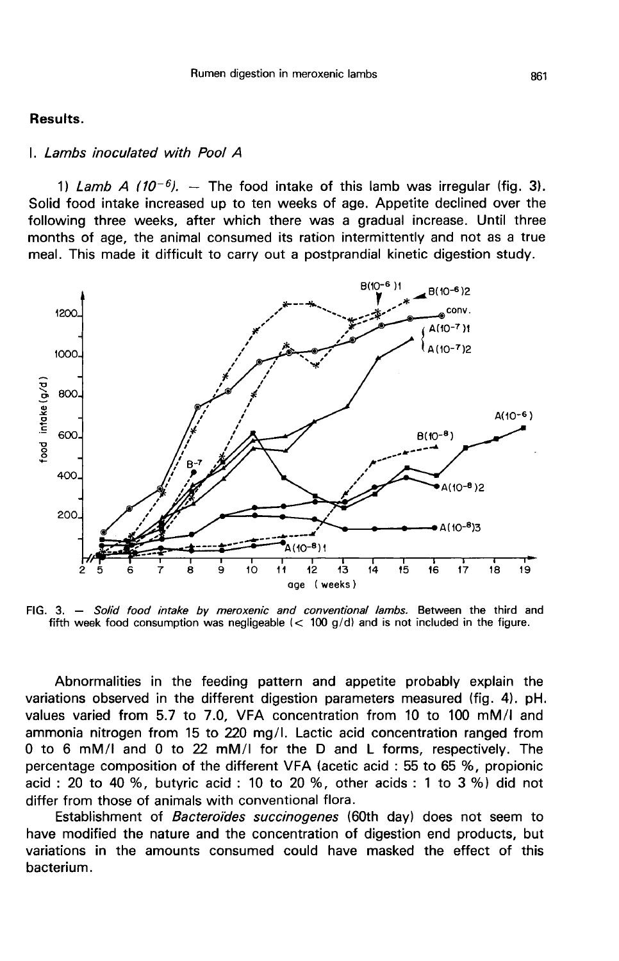### Results.

### I. Lambs inoculated with Pool A

1) Lamb A (10<sup>-6</sup>). - The food intake of this lamb was irregular (fig. 3). Solid food intake increased up to ten weeks of age. Appetite declined over the following three weeks, after which there was a gradual increase. Until three months of age, the animal consumed its ration intermittently and not as a true meal. This made it difficult to carry out a postprandial kinetic digestion study.



FIG. 3. - Solid food intake by meroxenic and conventional lambs. Between the third and fifth week food consumption was negligeable  $(< 100 \text{ g/d})$  and is not included in the figure.

Abnormalities in the feeding pattern and appetite probably explain the variations observed in the different digestion parameters measured (fig. 4). pH. values varied from 5.7 to 7.0, VFA concentration from 10 to 100 mM/I and ammonia nitrogen from 15 to 220 mg/I. Lactic acid concentration ranged from 0 to 6 mM/I and 0 to 22 mM/I for the D and L forms, respectively. The percentage composition of the different VFA (acetic acid : 55 to 65 %, propionic acid : 20 to 40 %, butyric acid : 10 to 20 %, other acids : 1 to 3 %) did not differ from those of animals with conventional flora.

Establishment of Bacteroïdes succinogenes (60th day) does not seem to have modified the nature and the concentration of digestion end products, but variations in the amounts consumed could have masked the effect of this bacterium.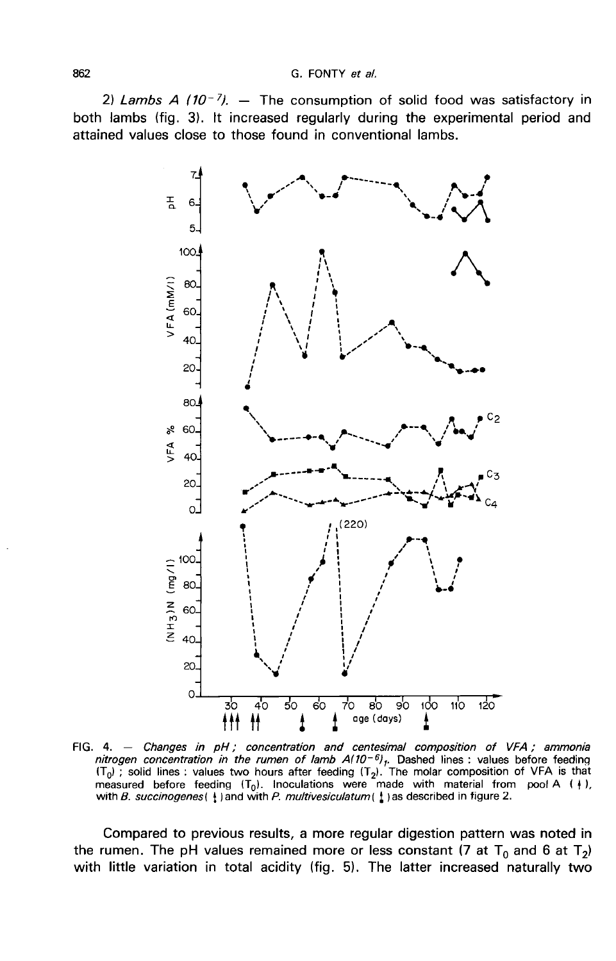2) Lambs A (10-7). - The consumption of solid food was satisfactory in both lambs (fig. 3). It increased regularly during the experimental period and attained values close to those found in conventional lambs.



FIG. 4. - Changes in pH; concentration and centesimal composition of VFA; ammonia nitrogen concentration in the rumen of lamb  $A(10^{-6})$ , Dashed lines : values before feeding  $(T_0)$ ; solid lines : values two hours after feeding  $(T_2)$ . The molar composition of VFA is that measured before feeding  $(T_0)$ . Inoculations were made with material from pool A ( $\downarrow$ ), with B. succinogenes ( $\frac{1}{3}$ ) and with P. multivesiculatum ( $\frac{1}{4}$ ) as described in figure 2.

Compared to previous results, a more regular digestion pattern was noted in the rumen. The pH values remained more or less constant (7 at  $T_0$  and 6 at  $T_2$ ) with little variation in total acidity (fig. 5). The latter increased naturally two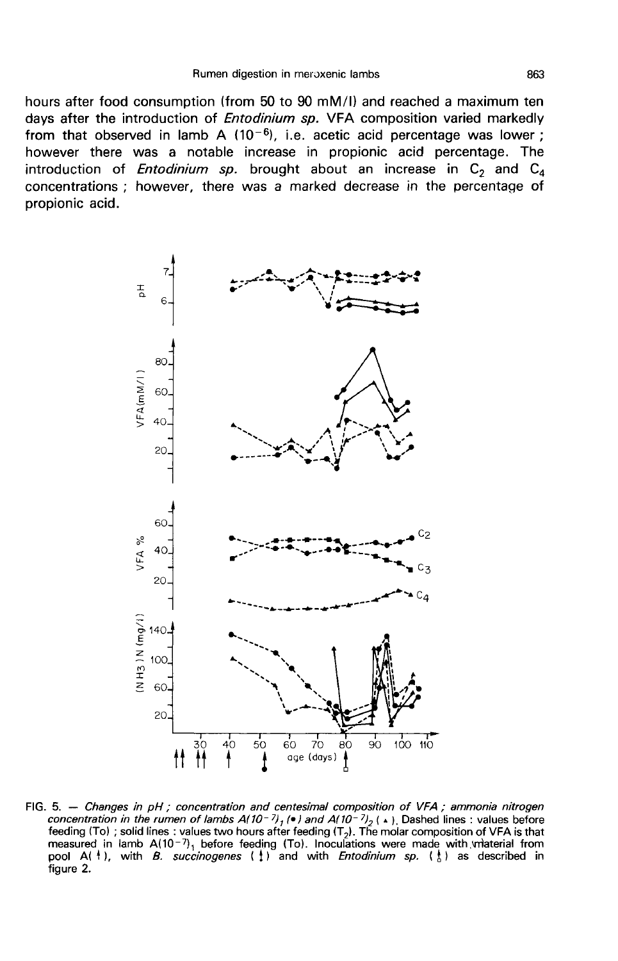hours after food consumption (from 50 to 90 mM/I) and reached a maximum ten days after the introduction of *Entodinium sp.* VFA composition varied markedly from that observed in lamb A  $(10^{-6})$ , i.e. acetic acid percentage was lower; however there was a notable increase in propionic acid percentage. The introduction of *Entodinium sp.* brought about an increase in  $C_2$  and  $C_4$ concentrations ; however, there was a marked decrease in the percentage of propionic acid.



FIG. 5. - Changes in pH; concentration and centesimal composition of VFA; ammonia nitrogen concentration in the rumen of lambs  $A(10^{-7})_1$  ( $\bullet$ ) and  $A(10^{-7})_2$  ( $\bullet$ ). Dashed lines : values before<br>feeding (To) ; solid lines : values two hours after feeding (T<sub>2</sub>). The molar composition of VFA is that measured in lamb  $A(10^{-7})$ , before feeding (To). Inoculations were made with material from pool A(  $\dagger$ ), with *B. succinogenes* ( $\ddagger$ ) and with *Entodinium sp.* ( $\ddagger$ ) as described in figure 2.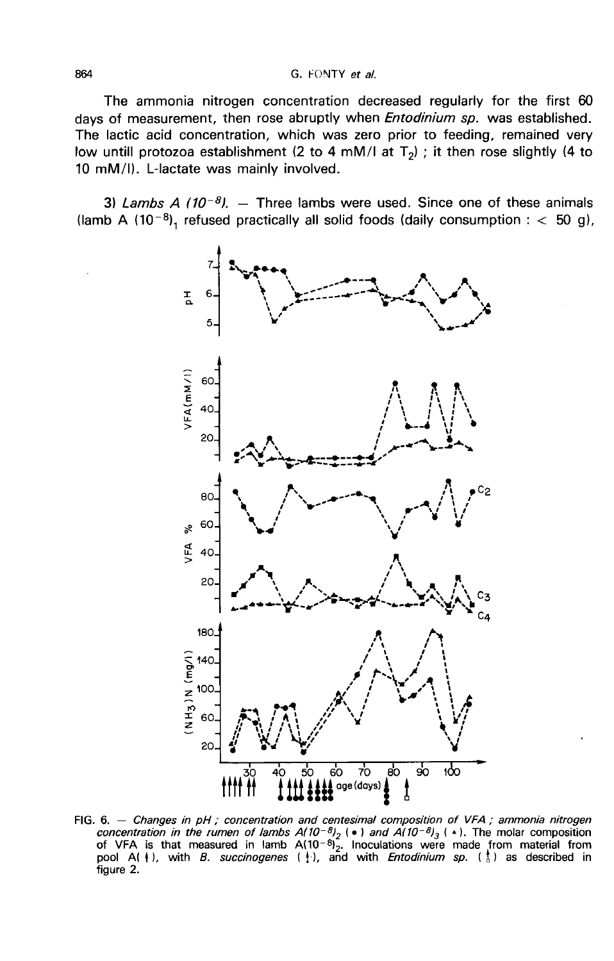The ammonia nitrogen concentration decreased regularly for the first 60 days of measurement, then rose abruptly when *Entodinium sp.* was established. The lactic acid concentration, which was zero prior to feeding, remained very low untill protozoa establishment (2 to 4 mM/l at  $T<sub>2</sub>$ ) ; it then rose slightly (4 to 10 mM/1). L-lactate was mainly involved.

3) Lambs A ( $10^{-8}$ ). - Three lambs were used. Since one of these animals (lamb A (10<sup>-8</sup>), refused practically all solid foods (daily consumption :  $<$  50 g),



FIG. 6. - Changes in pH; concentration and centesimal composition of VFA; ammonia nitrogen concentration in the rumen of lambs  $A(10^{-8})_2$  (•) and  $A(10^{-8})_3$  (•). The molar composition<br>of VFA is that measured in lamb  $A(10^{-8})_2$  (•) and  $A(10^{-8})_3$  (•). The molar composition<br>pool A(+), with *B. succinogenes* ( figure 2.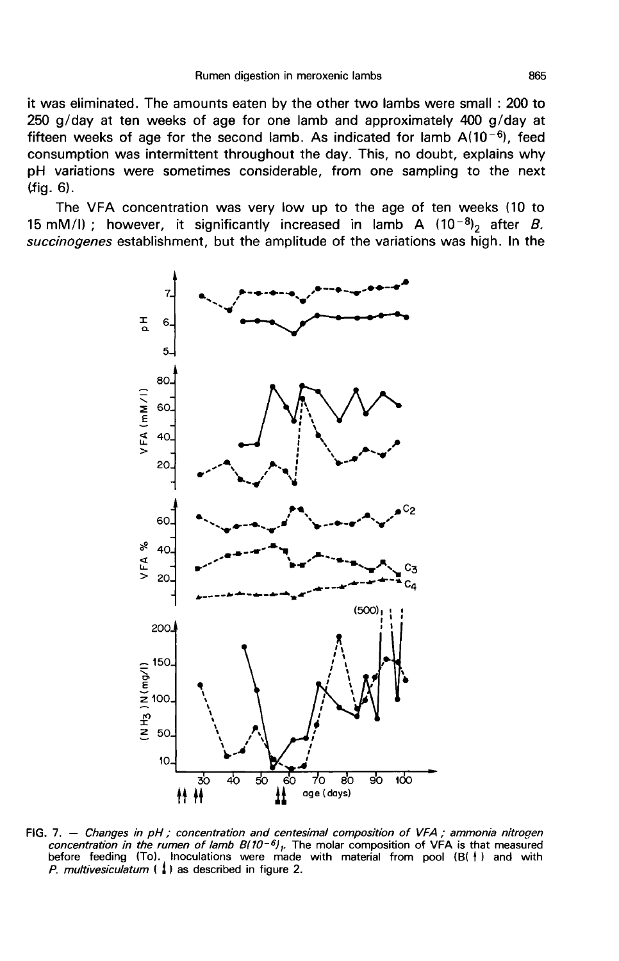it was eliminated. The amounts eaten by the other two lambs were small : 200 to 250 g/day at ten weeks of age for one lamb and approximately 400 g/day at fifteen weeks of age for the second lamb. As indicated for lamb  $A(10^{-6})$ , feed Figure in meroxenic lambs<br>it was eliminated. The amounts eaten by the other two lambs were small : 200 to<br>250 g/day at ten weeks of age for one lamb and approximately 400 g/day at<br>fifteen weeks of age for the second lamb. consumption was intermittent throughout the day. This, no doubt, explains why pH variations were sometimes considerable, from one sampling to the next Uig. 6).

The VFA concentration was very low up to the age of ten weeks (10 to 15 mM/l); however, it significantly increased in lamb A  $(10^{-8})_2$  after *B*. (fig. 6).<br>
The VFA concentration was very low up to the age of ten weeks (10 to<br>
15 mM/l); however, it significantly increased in lamb A (10<sup>-8)</sup><sub>2</sub> after *B*.<br>
succinogenes establishment, but the amplitude of the variati



FIG. 7. - Changes in pH; concentration and centesimal composition of VFA; ammonia nitrogen concentration in the rumen of lamb  $B(10^{-6})$ . The molar composition of VFA is that measured before feeding (To). Inoculations were made with material from pool (B( | ) and with P. multivesiculatum  $\binom{1}{k}$  as described in figure 2.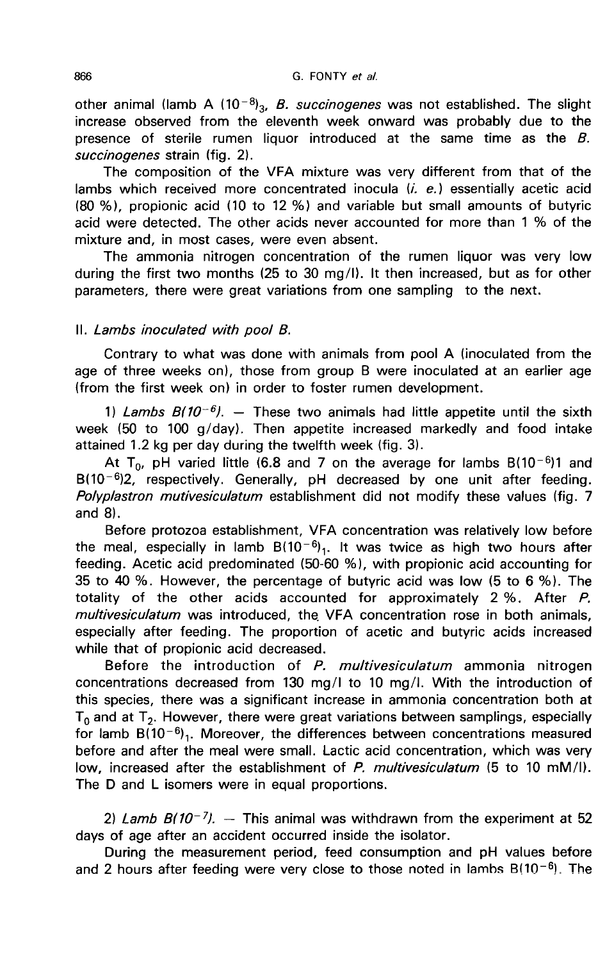866<br>other animal (lamb A (10<sup>-8</sup>)<sub>3</sub>, *B. succinogenes* was not established. The slight increase observed from the eleventh week onward was probably due to the presence of sterile rumen liquor introduced at the same time as the  $B$ . succinogenes strain (fig. 2).

The composition of the VFA mixture was very different from that of the lambs which received more concentrated inocula  $(i. e.)$  essentially acetic acid (80 %), propionic acid (10 to 12 %) and variable but small amounts of butyric acid were detected. The other acids never accounted for more than 1 % of the mixture and, in most cases, were even absent.

The ammonia nitrogen concentration of the rumen liquor was very low during the first two months (25 to 30 mg/1). It then increased, but as for other parameters, there were great variations from one sampling to the next.

## II. Lambs inoculated with pool B.

Contrary to what was done with animals from pool A (inoculated from the age of three weeks on), those from group B were inoculated at an earlier age (from the first week on) in order to foster rumen development.

1) Lambs  $B(10^{-6})$ . - These two animals had little appetite until the sixth (50 to 100 g/day). Then appetite increased markedly and food intake ned 1.2 kg per day during the twelfth week (fig. 3). At  $T_0$ , pH varied litt week (50 to 100 g/day). Then appetite increased markedly and food intake

attained 1.2 kg per day during the twelfth week (fig. 3).<br>At T<sub>0</sub>, pH varied little (6.8 and 7 on the average for lambs B(10<sup>-6</sup>)1 and 1) Lambs  $B(10^{-9})$ .  $-$  These two animals had little appetite until the sixth<br>week (50 to 100 g/day). Then appetite increased markedly and food intake<br>attained 1.2 kg per day during the twelfth week (fig. 3).<br>At T<sub>0</sub>, pH Polyplastron mutivesiculatum establishment did not modify these values (fig. 7 and 8).

Before protozoa establishment, VFA concentration was relatively low before the meal, especially in lamb  $B(10^{-6})_1$ . It was twice as high two hours after Polyplastron mutivesiculatum establishment did not modify these values (fig. 7 and 8).<br>Before protozoa establishment, VFA concentration was relatively low before<br>the meal, especially in lamb  $B(10^{-6})_1$ . It was twice as h 35 to 40 %. However, the percentage of butyric acid was low (5 to 6 %). The totality of the other acids accounted for approximately 2 %. After P. multivesiculatum was introduced, the VFA concentration rose in both animals, especially after feeding. The proportion of acetic and butyric acids increased while that of propionic acid decreased.

Before the introduction of P. multivesiculatum ammonia nitrogen concentrations decreased from 130 mg/I to 10 mg/I. With the introduction of this species, there was a significant increase in ammonia concentration both at  $T_0$  and at  $T_2$ . However, there were great variations between samplings, especially for lamb  $B(10^{-6})$ . Moreover, the differences between concentrations measured before and after the meal were small. Lactic acid concentration, which was very low, increased after the establishment of P. multivesiculatum (5 to 10 mM/l). The D and L isomers were in equal proportions.

2) Lamb  $B(10^{-7})$ . -- This animal was withdrawn from the experiment at 52<br>days of age after an accident occurred inside the isolator.<br>During the measurement period, feed consumption and pH values before<br>and 2 hours after days of age after an accident occurred inside the isolator.

During the measurement period, feed consumption and pH values before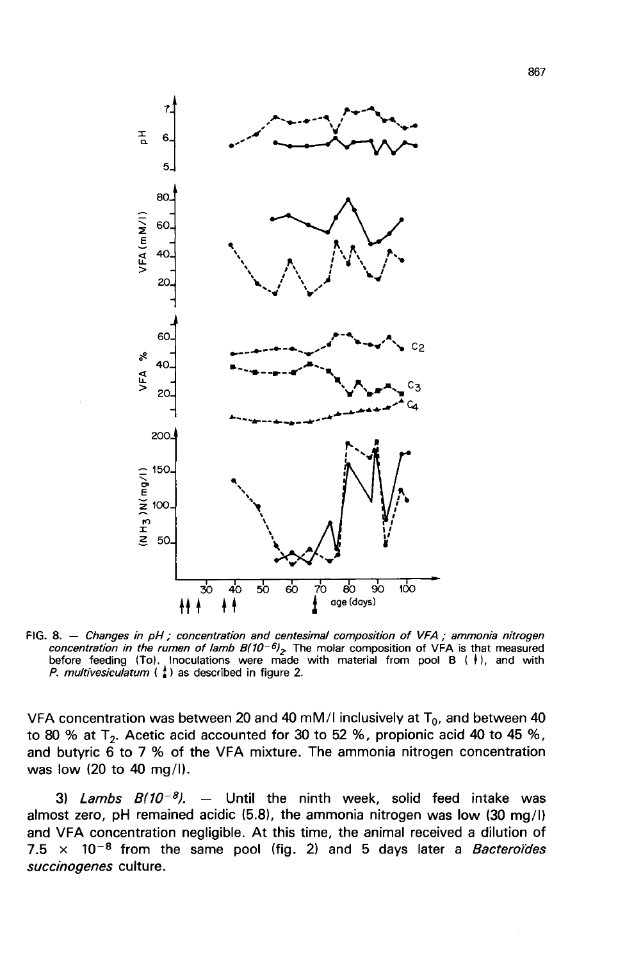

FIG. 8. - Changes in pH ; concentration and centesimal composition of VFA ; ammonia nitrogen concentration in the rumen of lamb  $B(10^{-6})_2$ . The molar composition of VFA is that measured concentration in the rumen of lamb  $B/D^{-9}$ , the molar composition of VFA is that measured<br>before feeding (To). Inoculations were made with material from pool B ( $\dagger$ ), and with<br>P. multivesiculatum ( $\ddagger$ ) as described in

VFA concentration was between 20 and 40 mM/I inclusively at  $T_0$ , and between 40 to 80 % at T<sub>2</sub>. Acetic acid accounted for 30 to 52 %, propionic acid 40 to 45 %, and butyric  $\vec{6}$  to 7 % of the VFA mixture. The ammonia nitrogen concentration was low (20 to 40 mg/1). concentration was between 20 and 40 mM/l inclusively at  $T_0$ , and between 40<br>
3) % at  $T_2$ . Acetic acid accounted for 30 to 52 %, propionic acid 40 to 45 %,<br>
butyric 6 to 7 % of the VFA mixture. The ammonia nitrogen con

almost zero, pH remained acidic (5.8), the ammonia nitrogen was low (30 mg/1) and VFA concentration negligible. At this time, the animal received a dilution of  $7.5 \times 10^{-8}$  from the same pool (fig. 2) and 5 days later a *Bacteroides* succinogenes culture.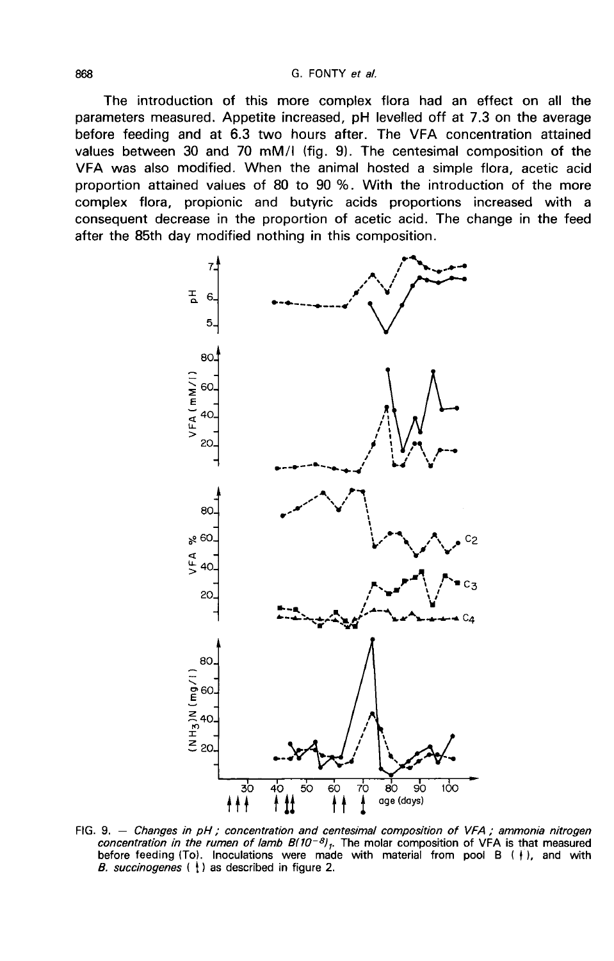The introduction of this more complex flora had an effect on all the parameters measured. Appetite increased, pH levelled off at 7.3 on the average before feeding and at 6.3 two hours after. The VFA concentration attained values between 30 and 70 mM/I (fig. 9). The centesimal composition of the VFA was also modified. When the animal hosted a simple flora, acetic acid proportion attained values of 80 to 90 %. With the introduction of the more complex flora, propionic and butyric acids proportions increased with a consequent decrease in the proportion of acetic acid. The change in the feed after the 85th day modified nothing in this composition.



FIG. 9.  $-$  Changes in pH ; concentration and centesimal composition of VFA ; ammonia nitrogen concentration in the rumen of lamb  $B(10^{-8})$ . The molar composition of VFA is that measured before feeding (To). Inoculations were made with material from pool B  $(+)$ , and with B. succinogenes  $( )$  as described in figure 2.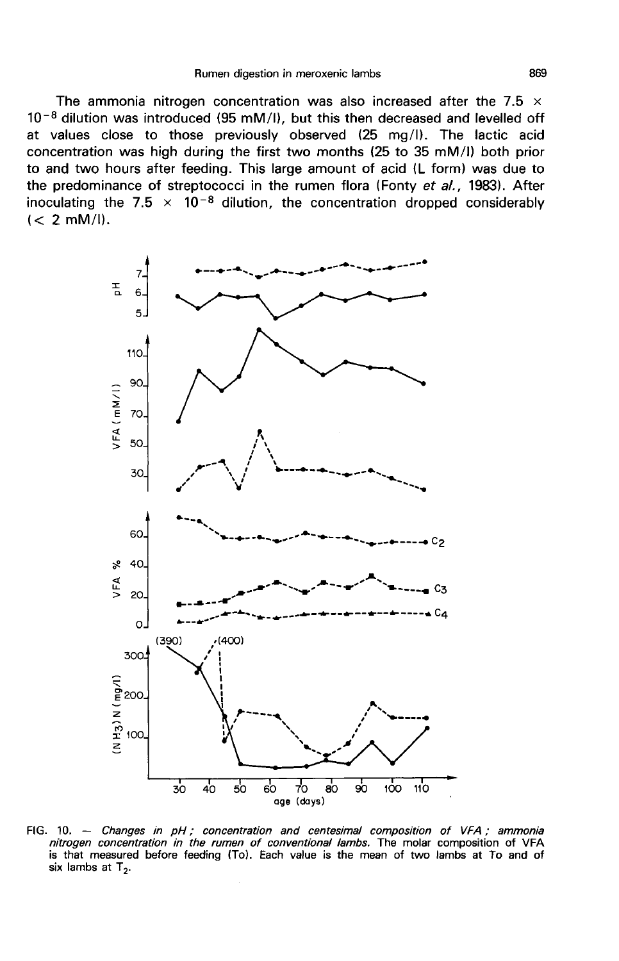The ammonia nitrogen concentration was also increased after the 7.5  $\times$  $10^{-8}$  dilution was introduced (95 mM/I), but this then decreased and levelled off at values close to those previously observed (25 mg/I). The lactic acid concentration was high during the first two months (25 to 35 mM/I) both prior to and two hours after feeding. This large amount of acid (L form) was due to the predominance of streptococci in the rumen flora (Fonty et al., 1983). After inoculating the 7.5  $\times$  10<sup>-8</sup> dilution, the concentration dropped considerably (< 2 mM/l).



FIG. 10.  $-$  Changes in pH : concentration and centesimal composition of VFA : ammonia nitrogen concentration in the rumen of conventional lambs. The molar composition of VFA is that measured before feeding (To). Each value is the mean of two lambs at To and of six lambs at  $T_2$ .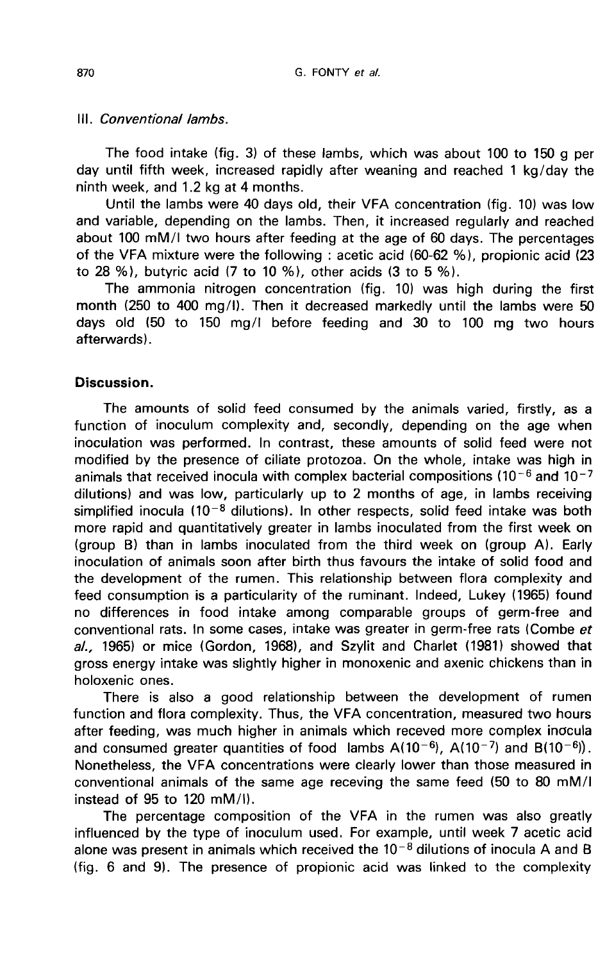## III. Conventional lambs.

The food intake (fig. 3) of these lambs, which was about 100 to 150 g per day until fifth week, increased rapidly after weaning and reached 1 kg/day the ninth week, and 1.2 kg at 4 months.

Until the lambs were 40 days old, their VFA concentration (fig. 10) was low and variable, depending on the lambs. Then, it increased regularly and reached about 100 mM/I two hours after feeding at the age of 60 days. The percentages of the VFA mixture were the following : acetic acid (60-62 %), propionic acid (23 to 28 %), butyric acid (7 to 10 %), other acids (3 to 5 %).

The ammonia nitrogen concentration (fig. 10) was high during the first month (250 to 400 mg/1). Then it decreased markedly until the lambs were 50 days old (50 to 150 mg/I before feeding and 30 to 100 mg two hours afterwards) .

## Discussion.

The amounts of solid feed consumed by the animals varied, firstly, as a function of inoculum complexity and, secondly, depending on the age when inoculation was performed. In contrast, these amounts of solid feed were not modified by the presence of ciliate protozoa. On the whole, intake was high in animals that received inocula with complex bacterial compositions ( $10^{-6}$  and  $10^{-7}$ ) dilutions) and was low, particularly up to 2 months of age, in lambs receiving animals that received inocula with complex bacterial compositions  $(10^{-6}$  and  $10^{-7}$ <br>dilutions) and was low, particularly up to 2 months of age, in lambs receiving<br>simplified inocula  $(10^{-8}$  dilutions). In other respec more rapid and quantitatively greater in lambs inoculated from the first week on (group B) than in lambs inoculated from the third week on (group A). Early inoculation of animals soon after birth thus favours the intake of solid food and the development of the rumen. This relationship between flora complexity and feed consumption is a particularity of the ruminant. Indeed, Lukey (1965) found no differences in food intake among comparable groups of germ-free and conventional rats. In some cases, intake was greater in germ-free rats (Combe et al., 1965) or mice (Gordon, 1968), and Szylit and Charlet (1981) showed that gross energy intake was slightly higher in monoxenic and axenic chickens than in holoxenic ones.

There is also a good relationship between the development of rumen function and flora complexity. Thus, the VFA concentration, measured two hours after feeding, was much higher in animals which receved more complex inocula<br>and consumed greater quantities of food lambs  $A(10^{-6})$ ,  $A(10^{-7})$  and  $B(10^{-6})$ ). There is also a good relationship between the development of rumen<br>function and flora complexity. Thus, the VFA concentration, measured two hours<br>after feeding, was much higher in animals which receved more complex inocul conventional animals of the same age receving the same feed (50 to 80 mM/I instead of 95 to 120 mM/I).

The percentage composition of the VFA in the rumen was also greatly influenced by the type of inoculum used. For example, until week 7 acetic acid alone was present in animals which received the  $10^{-8}$  dilutions of inocula A and B (fig. 6 and 9). The presence of propionic acid was linked to the complexity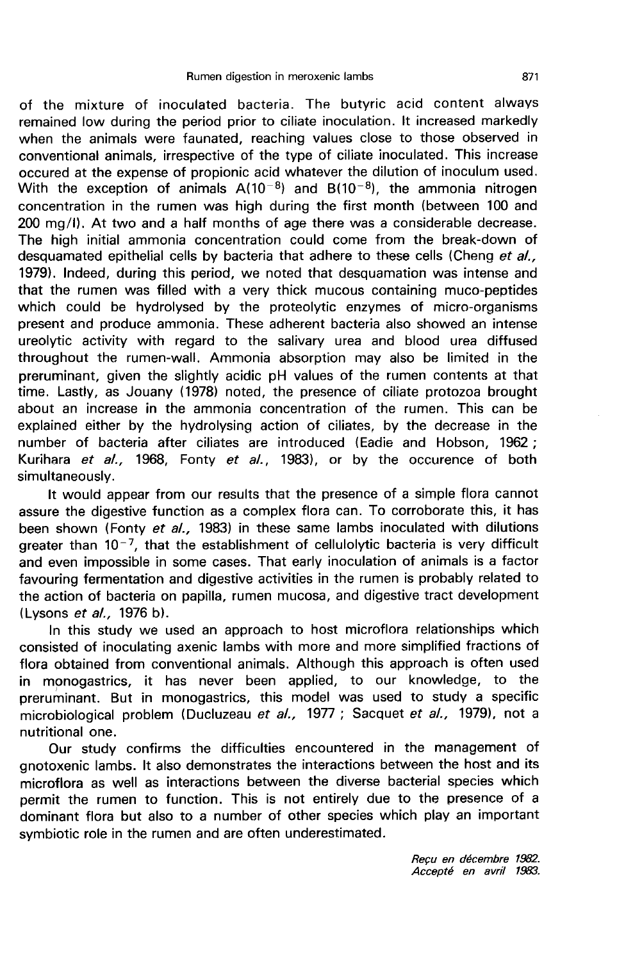of the mixture of inoculated bacteria. The butyric acid content always remained low during the period prior to ciliate inoculation. It increased markedly when the animals were faunated, reaching values close to those observed in conventional animals, irrespective of the type of ciliate inoculated. This increase occured at the expense of propionic acid whatever the dilution of inoculum used.<br>With the exception of animals  $A(10^{-8})$  and  $B(10^{-8})$ , the ammonia nitrogen when the animals were faunated, reaching values close to those observed in conventional animals, irrespective of the type of ciliate inoculated. This increase occurred at the exception of propionic acid whatever the dilut concentration in the rumen was high during the first month (between 100 and 200 mg/1). At two and a half months of age there was a considerable decrease. The high initial ammonia concentration could come from the break-down of desquamated epithelial cells by bacteria that adhere to these cells (Cheng et  $aL$ , 1979). Indeed, during this period, we noted that desquamation was intense and that the rumen was filled with a very thick mucous containing muco-peptides which could be hydrolysed by the proteolytic enzymes of micro-organisms present and produce ammonia. These adherent bacteria also showed an intense ureolytic activity with regard to the salivary urea and blood urea diffused throughout the rumen-wall. Ammonia absorption may also be limited in the preruminant, given the slightly acidic pH values of the rumen contents at that time. Lastly, as Jouany (1978) noted, the presence of ciliate protozoa brought about an increase in the ammonia concentration of the rumen. This can be explained either by the hydrolysing action of ciliates, by the decrease in the number of bacteria after ciliates are introduced (Eadie and Hobson, 1962 ; Kurihara et  $al.,$  1968, Fonty et  $al.,$  1983), or by the occurence of both simultaneously.

It would appear from our results that the presence of a simple flora cannot assure the digestive function as a complex flora can. To corroborate this, it has been shown (Fonty *et al.,* 1983) in these same lambs inoculated with dilutions assure the digestive function as a complex fiora can. To corroborate this, it has<br>been shown (Fonty *et al.,* 1983) in these same lambs inoculated with dilutions<br>greater than  $10^{-7}$ , that the establishment of cellulolyti and even impossible in some cases. That early inoculation of animals is a factor favouring fermentation and digestive activities in the rumen is probably related to the action of bacteria on papilla, rumen mucosa, and digestive tract development (Lysons *et al.*, 1976 b).

In this study we used an approach to host microflora relationships which consisted of inoculating axenic lambs with more and more simplified fractions of flora obtained from conventional animals. Although this approach is often used in monogastrics, it has never been applied, to our knowledge, to the preruminant. But in monogastrics, this model was used to study a specific microbiological problem (Ducluzeau et al., 1977 ; Sacquet et al., 1979), not a nutritional one.

Our study confirms the difficulties encountered in the management of gnotoxenic lambs. It also demonstrates the interactions between the host and its microflora as well as interactions between the diverse bacterial species which permit the rumen to function. This is not entirely due to the presence of a dominant flora but also to a number of other species which play an important symbiotic role in the rumen and are often underestimated.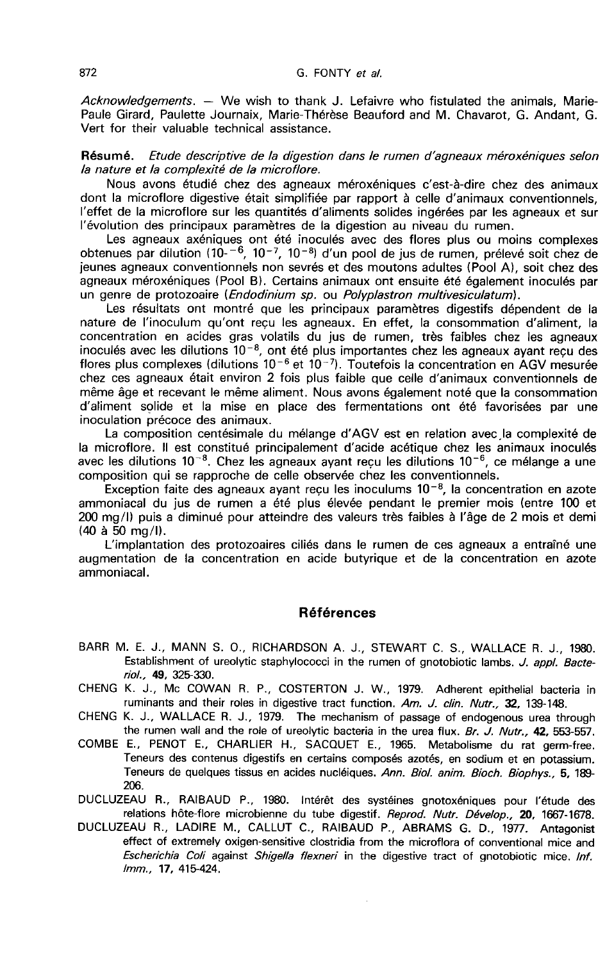Acknowledgements.  $-$  We wish to thank J. Lefaivre who fistulated the animals. Marie-Paule Girard, Paulette Journaix, Marie-Thérèse Beauford and M. Chavarot, G. Andant, G. Vert for their valuable technical assistance.

#### Résumé. Etude descriptive de la digestion dans le rumen d'agneaux méroxéniques selon la nature et la complexité de la microflore.

Nous avons étudié chez des agneaux méroxéniques c'est-à-dire chez des animaux dont la microflore digestive était simplifiée par rapport à celle d'animaux conventionnels, l'effet de la microflore sur les quantités d'aliments solides ingérées par les agneaux et sur l'évolution des principaux paramètres de la digestion au niveau du rumen.

Les agneaux axéniques ont été inoculés avec des flores plus ou moins complexes obtenues par dilution  $(10^{-6}, 10^{-7}, 10^{-8})$  d'un pool de jus de rumen, prélevé soit chez de jeunes agneaux conventionnels non sevrés et des moutons adultes (Pool A), soit chez des agneaux méroxéniques (Pool B). Certains animaux ont ensuite été également inoculés par un genre de protozoaire (*Endodinium sp.* ou *Polyplastron multivesiculatum*).

Les résultats ont montré que les principaux paramètres digestifs dépendent de la nature de l'inoculum qu'ont reçu les agneaux. En effet, la consommation d'aliment, la concentration en acides gras volatils du jus de rumen, très faibles chez les agneaux inoculés avec les dilutions  $10^{-8}$ , ont été plus importantes chez les agneaux avant reçu des flores plus complexes (dilutions  $10^{-6}$  et  $10^{-7}$ ). Toutefois la concentration en AGV mesurée chez ces agneaux était environ 2 fois plus faible que celle d'animaux conventionnels de même âge et recevant le même aliment. Nous avons également noté que la consommation d'aliment solide et la mise en place des fermentations ont été favorisées par une inoculation précoce des animaux.<br>La composition centésimale du mélange d'AGV est en relation avec la complexité de même âge et recevant le même aliment. Nous avons également noté que la consommation<br>d'aliment solide et la mise en place des fermentations ont été favorisées par une<br>inoculation précoce des animaux.<br>La composition centésim

avec les dilutions 10<sup>-8</sup>. Chez les agneaux ayant recu les dilutions 10<sup>-6</sup>, ce mélange a une composition qui se rapproche de celle observée chez les conventionnels.

Exception faite des agneaux ayant reçu les inoculums  $10^{-8}$ , la concentration en azote ammoniacal du jus de rumen a été plus élevée pendant le premier mois (entre 100 et 200 mg/1) puis a diminué pour atteindre des valeurs très faibles à l'âge de 2 mois et demi (40 à 50 mg/l).

L'implantation des protozoaires ciliés dans le rumen de ces agneaux a entraîné une augmentation de la concentration en acide butyrique et de la concentration en azote ammoniacal.

### Références

- BARR M. E. J., MANN S. 0., RICHARDSON A. J., STEWART C. S., WALLACE R. J., 1980. Establishment of ureolytic staphylococci in the rumen of gnotobiotic lambs. J. appl. Bacteriol., 49, 325-330.
- CHENG K. J., Mc COWAN R. P., COSTERTON J. W., 1979. Adherent epithelial bacteria in ruminants and their roles in digestive tract function. Am. J. clin. Nutr., 32, 139-148.
- CHENG K. J., WALLACE R. J., 1979. The mechanism of passage of endogenous urea through the rumen wall and the role of ureolytic bacteria in the urea flux. Br. J. Nutr., 42, 553-557.
- COMBE E., PENOT E., CHARLIER H., SACQUET E., 1965. Métabolisme du rat germ-free. Teneurs des contenus digestifs en certains composés azotés, en sodium et en potassium. Teneurs de quelques tissus en acides nucléiques. Ann. Biol. anim. Bioch. Biophys., 5, 189- 206.
- DUCLUZEAU R., RAIBAUD P., 1980. Intérêt des systéines gnotoxéniques pour l'étude des relations hôte-flore microbienne du tube digestif. Reprod. Nutr. Dévelop., 20, 1667-1678.
- DUCLUZEAU R., LADIRE M., CALLUT C., RAIBAUD P., ABRAMS G. D., 1977. Antagonist effect of extremely oxigen-sensitive clostridia from the microflora of conventional mice and Escherichia Coli against Shigella flexneri in the digestive tract of gnotobiotic mice. Inf. Imm., 17, 415-424.